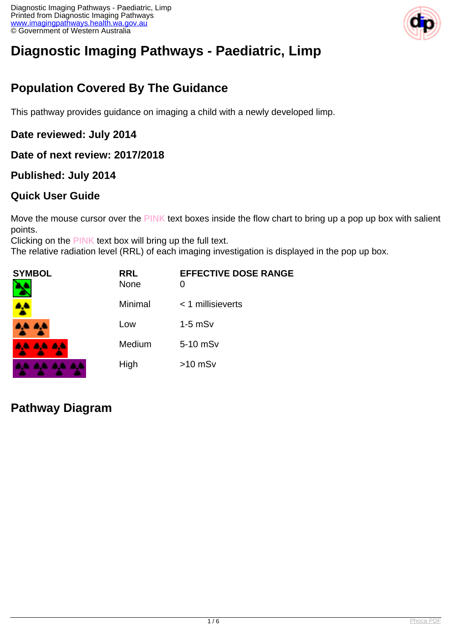

# **Diagnostic Imaging Pathways - Paediatric, Limp**

# **Population Covered By The Guidance**

This pathway provides guidance on imaging a child with a newly developed limp.

#### **Date reviewed: July 2014**

#### **Date of next review: 2017/2018**

#### **Published: July 2014**

#### **Quick User Guide**

Move the mouse cursor over the PINK text boxes inside the flow chart to bring up a pop up box with salient points.

Clicking on the PINK text box will bring up the full text.

The relative radiation level (RRL) of each imaging investigation is displayed in the pop up box.

| SYMBOL          | <b>RRL</b><br><b>None</b> | <b>EFFECTIVE DOSE RANGE</b><br>0 |
|-----------------|---------------------------|----------------------------------|
|                 | Minimal                   | < 1 millisieverts                |
| <b>AA AA</b>    | Low                       | $1-5$ mS $v$                     |
| <b>AA AA AA</b> | Medium                    | 5-10 mSv                         |
|                 | High                      | $>10$ mSv                        |

### **Pathway Diagram**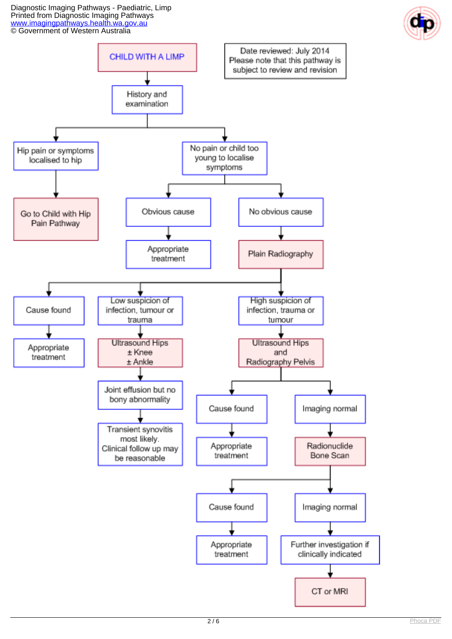Diagnostic Imaging Pathways - Paediatric, Limp Printed from Diagnostic Imaging Pathways [www.imagingpathways.health.wa.gov.au](http://www.imagingpathways.health.wa.gov.au/) © Government of Western Australia



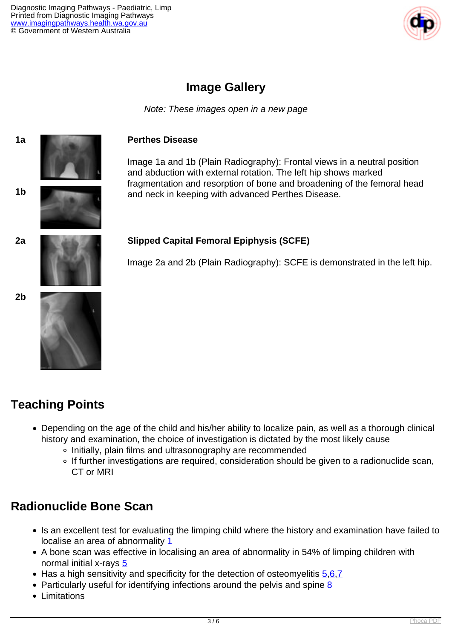

### **Image Gallery**

Note: These images open in a new page



# **Teaching Points**

- Depending on the age of the child and his/her ability to localize pain, as well as a thorough clinical history and examination, the choice of investigation is dictated by the most likely cause
	- o Initially, plain films and ultrasonography are recommended
	- o If further investigations are required, consideration should be given to a radionuclide scan, CT or MRI

### **Radionuclide Bone Scan**

- Is an excellent test for evaluating the limping child where the history and examination have failed to localise an area of abnormality [1](index.php?option=com_content&view=article&id=185&tab=references#1)
- A bone scan was effective in localising an area of abnormality in 54% of limping children with normal initial x-rays [5](index.php?option=com_content&view=article&id=185&tab=references#5)
- $\bullet$  Has a high sensitivity and specificity for the detection of osteomyelitis  $5.6,7$  $5.6,7$
- Particularly useful for identifying infections around the pelvis and spine  $8$
- Limitations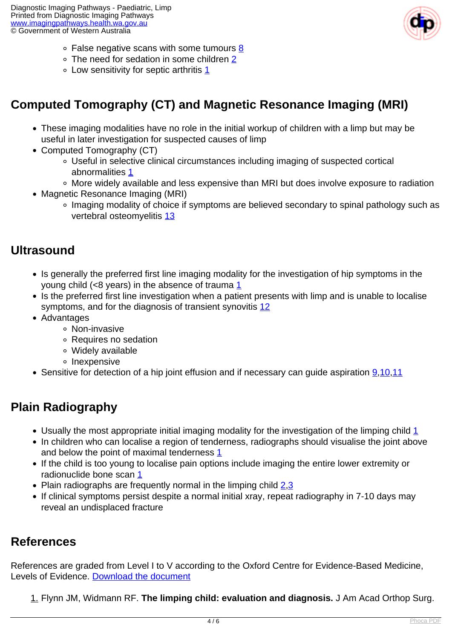

- False negative scans with some tumours [8](index.php?option=com_content&view=article&id=185&tab=references#8)
- The need for sedation in some children [2](index.php?option=com_content&view=article&id=185&tab=references#2)
- $\circ$  Low sensitivity for septic arthritis  $1$

# **Computed Tomography (CT) and Magnetic Resonance Imaging (MRI)**

- These imaging modalities have no role in the initial workup of children with a limp but may be useful in later investigation for suspected causes of limp
- Computed Tomography (CT)
	- Useful in selective clinical circumstances including imaging of suspected cortical abnormalities [1](index.php?option=com_content&view=article&id=185&tab=references#1)
	- More widely available and less expensive than MRI but does involve exposure to radiation
- Magnetic Resonance Imaging (MRI)
	- Imaging modality of choice if symptoms are believed secondary to spinal pathology such as vertebral osteomyelitis [13](index.php?option=com_content&view=article&id=185&tab=references#13)

### **Ultrasound**

- Is generally the preferred first line imaging modality for the investigation of hip symptoms in the young child (<8 years) in the absence of trauma  $1$
- Is the preferred first line investigation when a patient presents with limp and is unable to localise symptoms, and for the diagnosis of transient synovitis [12](index.php?option=com_content&view=article&id=185&tab=references#12)
- Advantages
	- o Non-invasive
	- Requires no sedation
	- Widely available
	- o Inexpensive
- Sensitive for detection of a hip joint effusion and if necessary can quide aspiration [9](index.php?option=com_content&view=article&id=185&tab=references#9)[,10,](index.php?option=com_content&view=article&id=185&tab=references#10)[11](index.php?option=com_content&view=article&id=185&tab=references#11)

# **Plain Radiography**

- $\bullet$  Usually the most appropriate initial imaging modality for the investigation of the limping child [1](index.php?option=com_content&view=article&id=185&tab=references#1)
- In children who can localise a region of tenderness, radiographs should visualise the joint above and below the point of maximal tenderness [1](index.php?option=com_content&view=article&id=185&tab=references#1)
- If the child is too young to localise pain options include imaging the entire lower extremity or radionuclide bone scan [1](index.php?option=com_content&view=article&id=185&tab=references#1)
- Plain radiographs are frequently normal in the limping child [2](index.php?option=com_content&view=article&id=185&tab=references#2),[3](index.php?option=com_content&view=article&id=185&tab=references#3)
- If clinical symptoms persist despite a normal initial xray, repeat radiography in 7-10 days may reveal an undisplaced fracture

### **References**

References are graded from Level I to V according to the Oxford Centre for Evidence-Based Medicine, Levels of Evidence. [Download the document](http://www.cebm.net/wp-content/uploads/2014/06/CEBM-Levels-of-Evidence-2.1.pdf)

1. Flynn JM, Widmann RF. **The limping child: evaluation and diagnosis.** J Am Acad Orthop Surg.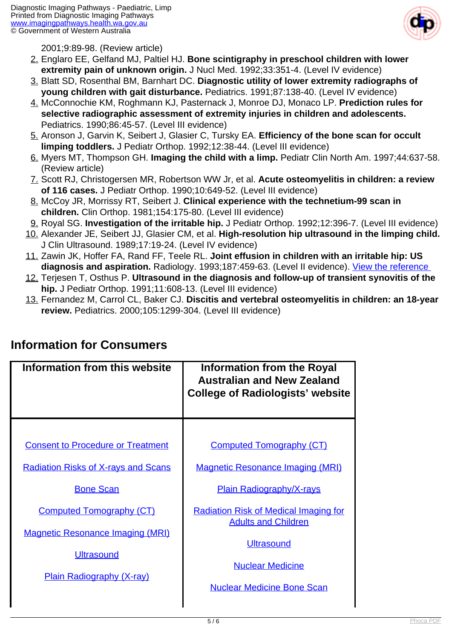

2001;9:89-98. (Review article)

- 2. Englaro EE, Gelfand MJ, Paltiel HJ. **Bone scintigraphy in preschool children with lower extremity pain of unknown origin.** J Nucl Med. 1992;33:351-4. (Level IV evidence)
- 3. Blatt SD, Rosenthal BM, Barnhart DC. **Diagnostic utility of lower extremity radiographs of young children with gait disturbance.** Pediatrics. 1991;87:138-40. (Level IV evidence)
- 4. McConnochie KM, Roghmann KJ, Pasternack J, Monroe DJ, Monaco LP. **Prediction rules for selective radiographic assessment of extremity injuries in children and adolescents.** Pediatrics. 1990;86:45-57. (Level III evidence)
- 5. Aronson J, Garvin K, Seibert J, Glasier C, Tursky EA. **Efficiency of the bone scan for occult limping toddlers.** J Pediatr Orthop. 1992;12:38-44. (Level III evidence)
- 6. Myers MT, Thompson GH. **Imaging the child with a limp.** Pediatr Clin North Am. 1997;44:637-58. (Review article)
- 7. Scott RJ, Christogersen MR, Robertson WW Jr, et al. **Acute osteomyelitis in children: a review of 116 cases.** J Pediatr Orthop. 1990;10:649-52. (Level III evidence)
- 8. McCoy JR, Morrissy RT, Seibert J. **Clinical experience with the technetium-99 scan in children.** Clin Orthop. 1981;154:175-80. (Level III evidence)
- 9. Royal SG. **Investigation of the irritable hip.** J Pediatr Orthop. 1992;12:396-7. (Level III evidence)
- 10. Alexander JE, Seibert JJ, Glasier CM, et al. **High-resolution hip ultrasound in the limping child.** J Clin Ultrasound. 1989;17:19-24. (Level IV evidence)
- 11. Zawin JK, Hoffer FA, Rand FF, Teele RL. **Joint effusion in children with an irritable hip: US diagnosis and aspiration.** Radiology. 1993;187:459-63. (Level II evidence). [View the reference](http://www.ncbi.nlm.nih.gov/entrez/query.fcgi?orig_db=PubMed&db=PubMed&cmd=Search&defaultField=Title+Word&term=Joint+effusion+in+children+with+an+irritable+hip%3A+US+diagnosis+and+aspiration)
- 12. Terjesen T, Osthus P. **Ultrasound in the diagnosis and follow-up of transient synovitis of the hip.** J Pediatr Orthop. 1991;11:608-13. (Level III evidence)
- 13. Fernandez M, Carrol CL, Baker CJ. **Discitis and vertebral osteomyelitis in children: an 18-year review.** Pediatrics. 2000;105:1299-304. (Level III evidence)

| Information from this website                                                                    | <b>Information from the Royal</b><br><b>Australian and New Zealand</b><br><b>College of Radiologists' website</b> |
|--------------------------------------------------------------------------------------------------|-------------------------------------------------------------------------------------------------------------------|
| <b>Consent to Procedure or Treatment</b>                                                         | <b>Computed Tomography (CT)</b>                                                                                   |
| <b>Radiation Risks of X-rays and Scans</b><br><b>Bone Scan</b>                                   | <b>Magnetic Resonance Imaging (MRI)</b><br><b>Plain Radiography/X-rays</b>                                        |
| <b>Computed Tomography (CT)</b>                                                                  | <b>Radiation Risk of Medical Imaging for</b><br><b>Adults and Children</b>                                        |
| <b>Magnetic Resonance Imaging (MRI)</b><br><b>Ultrasound</b><br><b>Plain Radiography (X-ray)</b> | <b>Ultrasound</b><br><b>Nuclear Medicine</b><br><b>Nuclear Medicine Bone Scan</b>                                 |

### **Information for Consumers**